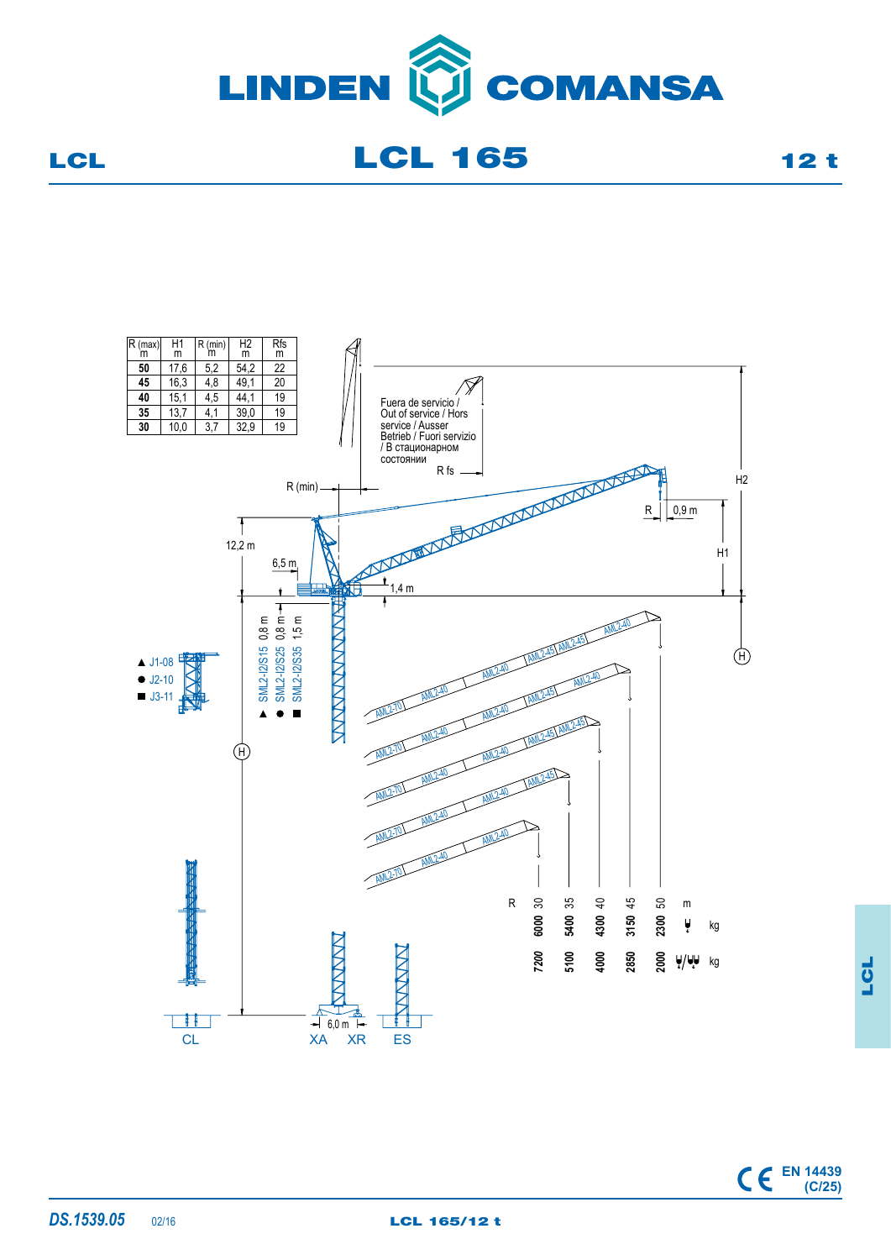

LCL 165 12 t



**EN 14439 (C/25)**

LCL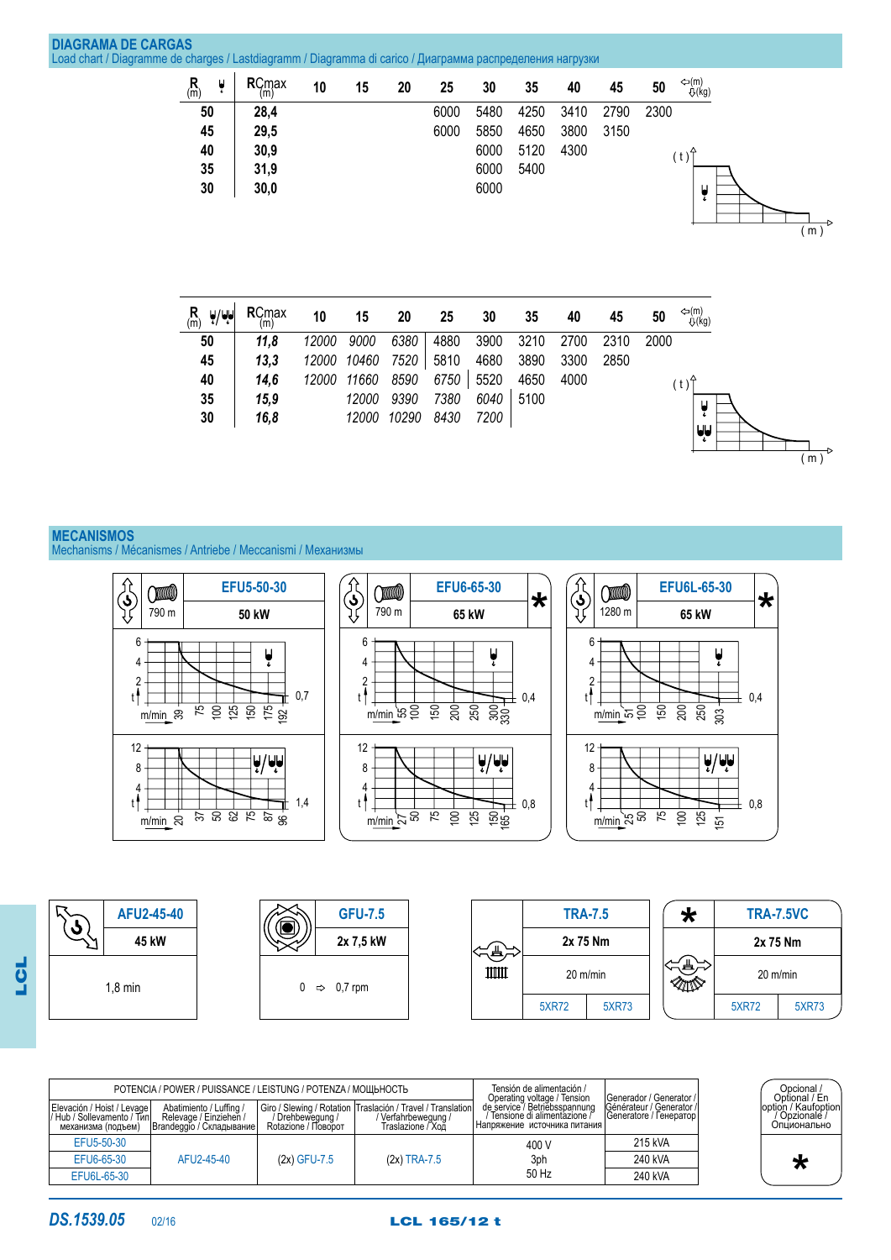## **Diagrama de cargas**

Load chart / Diagramme de charges / Lastdiagramm / Diagramma di carico / Диаграмма распределения нагрузки

| $\mathsf{R}_{\mathsf{(m)}}$<br>Ų | RCmax<br>(m' | 10 | 15 | 20 | 25   | 30   | 35   | 40   | 45   | 50   | ⇔(m)<br>- ए(kg) |  |
|----------------------------------|--------------|----|----|----|------|------|------|------|------|------|-----------------|--|
| 50                               | 28,4         |    |    |    | 6000 | 5480 | 4250 | 3410 | 2790 | 2300 |                 |  |
| 45                               | 29,5         |    |    |    | 6000 | 5850 | 4650 | 3800 | 3150 |      |                 |  |
| 40                               | 30,9         |    |    |    |      | 6000 | 5120 | 4300 |      |      | $(t)^4$         |  |
| 35                               | 31,9         |    |    |    |      | 6000 | 5400 |      |      |      |                 |  |
| 30                               | 30,0         |    |    |    |      | 6000 |      |      |      |      |                 |  |
|                                  |              |    |    |    |      |      |      |      |      |      | ī.              |  |
|                                  |              |    |    |    |      |      |      |      |      |      |                 |  |

| $\binom{R}{m}$<br>$\frac{1}{2}$ | <b>RCmax</b><br>(m) | 10    | 15          | 20    | 25        | 30     | 35   | 40   | 45   | 50   | ⇔(m)<br>- <del>U</del> (kg) |
|---------------------------------|---------------------|-------|-------------|-------|-----------|--------|------|------|------|------|-----------------------------|
| 50                              | 11,8                | 12000 | 9000        | 6380  | 4880      | 3900   | 3210 | 2700 | 2310 | 2000 |                             |
| 45                              | 13,3                |       | 12000 10460 | 7520  | 5810      | 4680   | 3890 | 3300 | 2850 |      |                             |
| 40                              | 14.6                | 12000 | 11660       | 8590  | 6750      | 5520   | 4650 | 4000 |      |      | ∴t ∖                        |
| 35                              | 15,9                |       | 12000       | 9390  | 7380      | 6040 I | 5100 |      |      |      |                             |
| 30                              | 16,8                |       | 12000       | 10290 | 8430 7200 |        |      |      |      |      | $\ddot{\phantom{a}}$        |
|                                 |                     |       |             |       |           |        |      |      |      |      | UU<br>Ł.                    |

 $\frac{1}{(m)}$ 

### **MECANISMOS**

Mechanisms / Mécanismes / Antriebe / Meccanismi / Механизмы





|                                                                                  | POTENCIA / POWER / PUISSANCE / LEISTUNG / POTENZA / МОШЬНОСТЬ                  |                                         | Tensión de alimentación /<br>Operating voltage / Tension                                                    | I Generador / Generator /                                                                    | Opcional /<br>Optional / En                        |                                                  |
|----------------------------------------------------------------------------------|--------------------------------------------------------------------------------|-----------------------------------------|-------------------------------------------------------------------------------------------------------------|----------------------------------------------------------------------------------------------|----------------------------------------------------|--------------------------------------------------|
| Elevación / Hoist / Levage<br>I/Hub / Sollevamento / Тип I<br>механизма (подъем) | Abatimiento / Luffing /<br>Relevage / Einziehen /<br> Brandeggio / Складывание | / Drehbeweauna /<br>Rotazione / Поворот | Giro / Slewing / Rotation   Traslación / Travel / Translation  <br>/ Verfahrbewegung /<br>Traslazione / Xon | de service / Betriebsspannung<br>Tensione di alimentazione /<br>Напряжение источника питания | Générateur / Generator /<br>Generatore / Генератор | loption / Kaufoption<br>Opzionale<br>Опционально |
| EFU5-50-30                                                                       |                                                                                |                                         |                                                                                                             | 400 V                                                                                        | 215 kVA                                            |                                                  |
| EFU6-65-30                                                                       | AFU2-45-40                                                                     | (2x) GFU-7.5                            | $(2x)$ TRA-7.5                                                                                              | 3ph                                                                                          | 240 kVA                                            |                                                  |
| EFU6L-65-30                                                                      |                                                                                |                                         |                                                                                                             | 50 Hz                                                                                        | 240 kVA                                            |                                                  |
|                                                                                  |                                                                                |                                         |                                                                                                             |                                                                                              |                                                    |                                                  |

LCL

**DS.1539.05** 02/16 **LCL 165/12 t** 

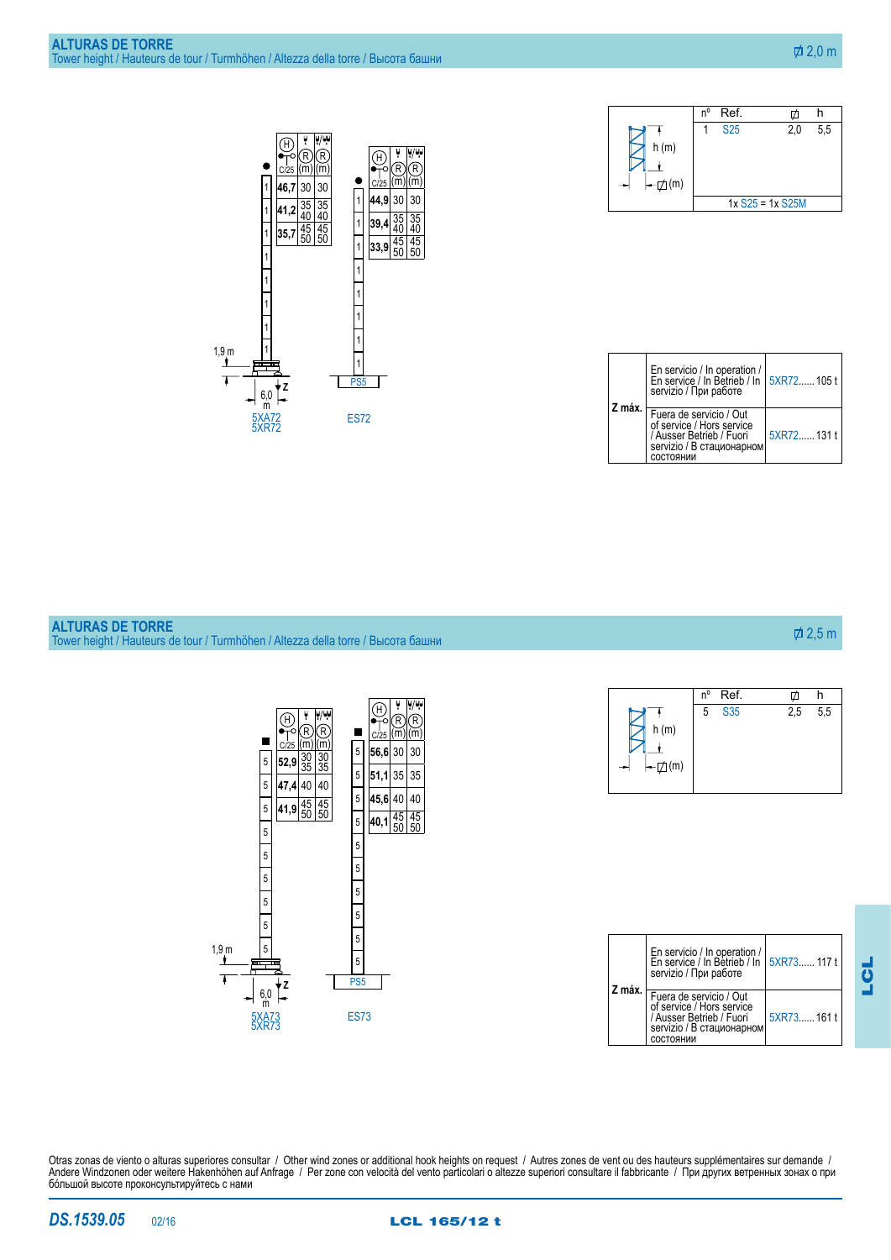



| Z máx. | En servicio / In operation / $\left  \begin{array}{c} \text{En service / In Bertieb / In } 5 \times 72 \dots 105 \text{ t} \end{array} \right $<br>servizio / При работе |             |  |  |
|--------|--------------------------------------------------------------------------------------------------------------------------------------------------------------------------|-------------|--|--|
|        | Fuera de servicio / Out<br>of service / Hors service<br>/ Ausser Betrieb / Fuori<br>servizio / В стационарном<br>СОСТОЯНИИ                                               | 5XR72 131 t |  |  |

## **Alturas de torre**

Tower height / Hauteurs de tour / Turmhöhen / Altezza della torre / Высота башни





| Z máx. | En servicio / In operation / $\vert$<br>En service / In Betrieb / In $\vert$ 5XR73 117 t<br>servizio / При работе          |            |  |
|--------|----------------------------------------------------------------------------------------------------------------------------|------------|--|
|        | Fuera de servicio / Out<br>of service / Hors service<br>/ Ausser Betrieb / Fuori<br>servizio / В стационарном<br>СОСТОЯНИИ | 5XR73161 t |  |

Otras zonas de viento o alturas superiores consultar / Other wind zones or additional hook heights on request / Autres zones de vent ou des hauteurs supplémentaires sur demande / Andere Windzonen oder weitere Hakenhöhen auf Anfrage / Per zone con velocità del vento particolari o altezze superiori consultare il fabbricante / При других ветренных зонах о при бóльшой высоте проконсультируйтесь с нами

# 2,5 m